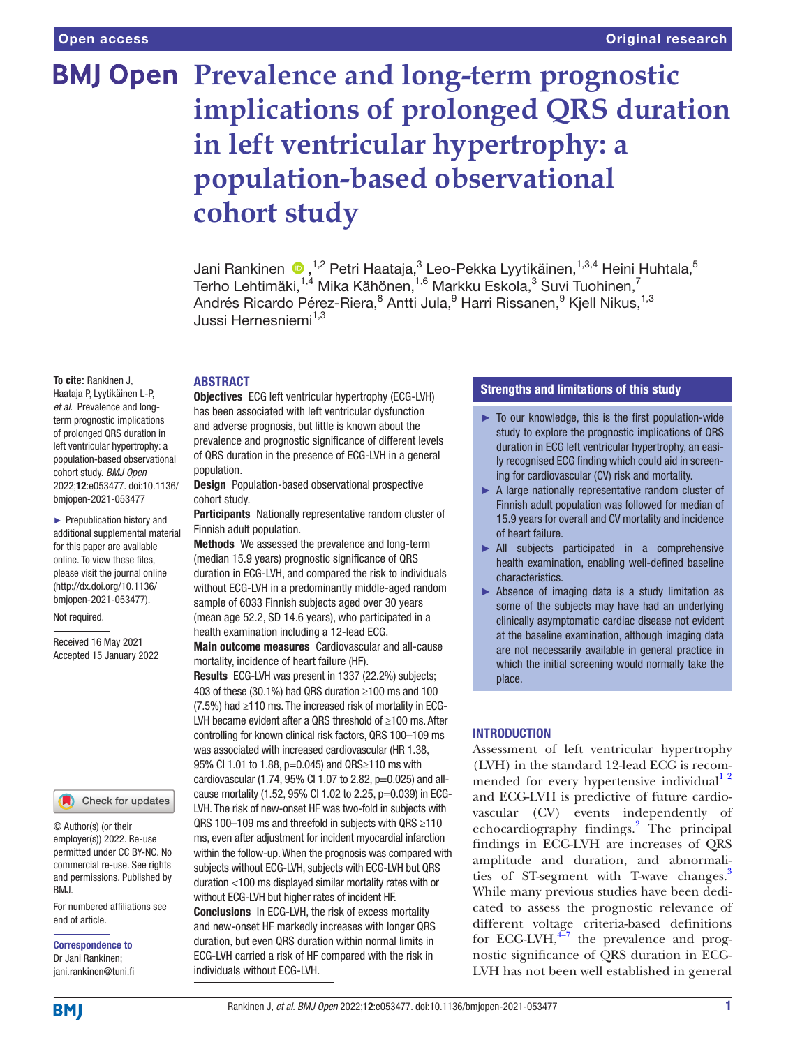# **BMJ Open Prevalence and long-term prognostic implications of prolonged QRS duration in left ventricular hypertrophy: a population-based observational cohort study**

JaniRankinen  $\bigcirc$  ,<sup>1,2</sup> Petri Haataja,<sup>3</sup> Leo-Pekka Lyytikäinen,<sup>1,3,4</sup> Heini Huhtala,<sup>5</sup> Terho Lehtimäki, $^{1,4}$  Mika Kähönen, $^{1,6}$  Markku Eskola, $^3$  Suvi Tuohinen, $^7$ Andrés Ricardo Pérez-Riera, $^8$  Antti Jula, $^9$  Harri Rissanen, $^9$  Kjell Nikus, $^{1,3}$ Jussi Hernesniemi1,3

## ABSTRACT

**To cite:** Rankinen J, Haataja P, Lyytikäinen L-P, *et al*. Prevalence and longterm prognostic implications of prolonged QRS duration in left ventricular hypertrophy: a population-based observational cohort study. *BMJ Open* 2022;12:e053477. doi:10.1136/ bmjopen-2021-053477

► Prepublication history and additional supplemental material for this paper are available online. To view these files, please visit the journal online [\(http://dx.doi.org/10.1136/](http://dx.doi.org/10.1136/bmjopen-2021-053477) [bmjopen-2021-053477](http://dx.doi.org/10.1136/bmjopen-2021-053477)).

Not required.

Received 16 May 2021 Accepted 15 January 2022

#### Check for updates

© Author(s) (or their employer(s)) 2022. Re-use permitted under CC BY-NC. No commercial re-use. See rights and permissions. Published by BMJ.

For numbered affiliations see end of article.

Correspondence to Dr Jani Rankinen; jani.rankinen@tuni.fi

Objectives ECG left ventricular hypertrophy (ECG-LVH) has been associated with left ventricular dysfunction and adverse prognosis, but little is known about the prevalence and prognostic significance of different levels of QRS duration in the presence of ECG-LVH in a general population.

Design Population-based observational prospective cohort study.

Participants Nationally representative random cluster of Finnish adult population.

Methods We assessed the prevalence and long-term (median 15.9 years) prognostic significance of QRS duration in ECG-LVH, and compared the risk to individuals without ECG-LVH in a predominantly middle-aged random sample of 6033 Finnish subjects aged over 30 years (mean age 52.2, SD 14.6 years), who participated in a health examination including a 12-lead ECG.

Main outcome measures Cardiovascular and all-cause mortality, incidence of heart failure (HF).

Results ECG-LVH was present in 1337 (22.2%) subjects; 403 of these (30.1%) had QRS duration ≥100 ms and 100 (7.5%) had ≥110 ms. The increased risk of mortality in ECG-LVH became evident after a QRS threshold of ≥100 ms. After controlling for known clinical risk factors, QRS 100–109 ms was associated with increased cardiovascular (HR 1.38, 95% CI 1.01 to 1.88, p=0.045) and QRS≥110 ms with cardiovascular (1.74, 95% CI 1.07 to 2.82, p=0.025) and allcause mortality (1.52, 95% CI 1.02 to 2.25, p=0.039) in ECG-LVH. The risk of new-onset HF was two-fold in subjects with QRS 100–109 ms and threefold in subjects with QRS ≥110 ms, even after adjustment for incident myocardial infarction within the follow-up. When the prognosis was compared with subjects without ECG-LVH, subjects with ECG-LVH but QRS duration <100 ms displayed similar mortality rates with or without ECG-LVH but higher rates of incident HF.

Conclusions In ECG-LVH, the risk of excess mortality and new-onset HF markedly increases with longer QRS duration, but even QRS duration within normal limits in ECG-LVH carried a risk of HF compared with the risk in individuals without ECG-LVH.

# Strengths and limitations of this study

- ► To our knowledge, this is the first population-wide study to explore the prognostic implications of QRS duration in ECG left ventricular hypertrophy, an easily recognised ECG finding which could aid in screening for cardiovascular (CV) risk and mortality.
- ► A large nationally representative random cluster of Finnish adult population was followed for median of 15.9 years for overall and CV mortality and incidence of heart failure.
- ► All subjects participated in a comprehensive health examination, enabling well-defined baseline characteristics.
- ► Absence of imaging data is a study limitation as some of the subjects may have had an underlying clinically asymptomatic cardiac disease not evident at the baseline examination, although imaging data are not necessarily available in general practice in which the initial screening would normally take the place.

## INTRODUCTION

Assessment of left ventricular hypertrophy (LVH) in the standard 12-lead ECG is recommended for every hypertensive individual<sup>1</sup><sup>2</sup> and ECG-LVH is predictive of future cardiovascular (CV) events independently of echocardiography findings.<sup>[2](#page-6-1)</sup> The principal findings in ECG-LVH are increases of QRS amplitude and duration, and abnormalities of ST-segment with T-wave changes.<sup>3</sup> While many previous studies have been dedicated to assess the prognostic relevance of different voltage criteria-based definitions for ECG-LVH, $^{4-7}$  the prevalence and prognostic significance of QRS duration in ECG-LVH has not been well established in general

**BMI**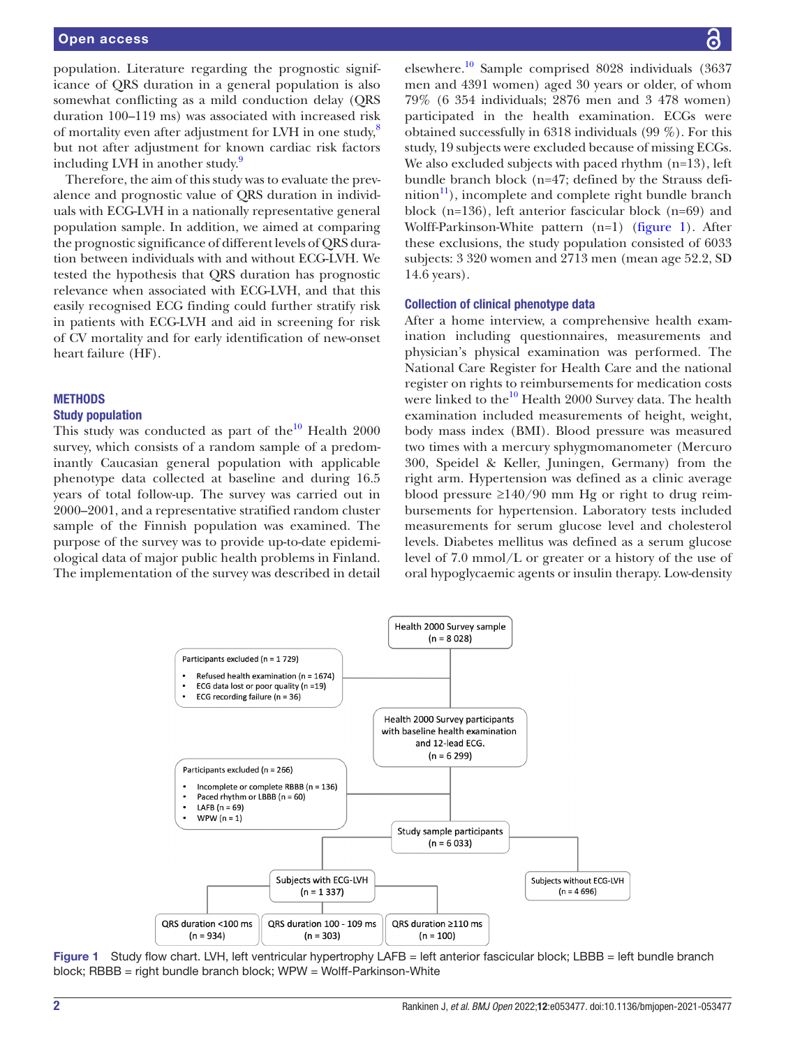## Open access

population. Literature regarding the prognostic significance of QRS duration in a general population is also somewhat conflicting as a mild conduction delay (QRS duration 100–119 ms) was associated with increased risk of mortality even after adjustment for LVH in one study, $\frac{8}{3}$  $\frac{8}{3}$  $\frac{8}{3}$ but not after adjustment for known cardiac risk factors including LVH in another study.<sup>[9](#page-7-1)</sup>

Therefore, the aim of this study was to evaluate the prevalence and prognostic value of QRS duration in individuals with ECG-LVH in a nationally representative general population sample. In addition, we aimed at comparing the prognostic significance of different levels of QRS duration between individuals with and without ECG-LVH. We tested the hypothesis that QRS duration has prognostic relevance when associated with ECG-LVH, and that this easily recognised ECG finding could further stratify risk in patients with ECG-LVH and aid in screening for risk of CV mortality and for early identification of new-onset heart failure (HF).

#### **METHODS**

## Study population

This study was conducted as part of the $^{10}$  $^{10}$  $^{10}$  Health 2000 survey, which consists of a random sample of a predominantly Caucasian general population with applicable phenotype data collected at baseline and during 16.5 years of total follow-up. The survey was carried out in 2000–2001, and a representative stratified random cluster sample of the Finnish population was examined. The purpose of the survey was to provide up-to-date epidemiological data of major public health problems in Finland. The implementation of the survey was described in detail

elsewhere.<sup>10</sup> Sample comprised 8028 individuals  $(3637)$ men and 4391 women) aged 30 years or older, of whom 79% (6 354 individuals; 2876 men and 3 478 women) participated in the health examination. ECGs were obtained successfully in 6318 individuals (99 %). For this study, 19 subjects were excluded because of missing ECGs. We also excluded subjects with paced rhythm  $(n=13)$ , left bundle branch block (n=47; defined by the Strauss defi $n$ ition<sup>11</sup>), incomplete and complete right bundle branch block (n=136), left anterior fascicular block (n=69) and Wolff-Parkinson-White pattern (n=1) [\(figure](#page-1-0) 1). After these exclusions, the study population consisted of 6033 subjects: 3 320 women and 2713 men (mean age 52.2, SD 14.6 years).

## Collection of clinical phenotype data

After a home interview, a comprehensive health examination including questionnaires, measurements and physician's physical examination was performed. The National Care Register for Health Care and the national register on rights to reimbursements for medication costs were linked to the $^{10}$  Health 2000 Survey data. The health examination included measurements of height, weight, body mass index (BMI). Blood pressure was measured two times with a mercury sphygmomanometer (Mercuro 300, Speidel & Keller, Juningen, Germany) from the right arm. Hypertension was defined as a clinic average blood pressure  $\geq$ 140/90 mm Hg or right to drug reimbursements for hypertension. Laboratory tests included measurements for serum glucose level and cholesterol levels. Diabetes mellitus was defined as a serum glucose level of 7.0 mmol/L or greater or a history of the use of oral hypoglycaemic agents or insulin therapy. Low-density



<span id="page-1-0"></span>Figure 1 Study flow chart. LVH, left ventricular hypertrophy LAFB = left anterior fascicular block; LBBB = left bundle branch block; RBBB = right bundle branch block; WPW = Wolff-Parkinson-White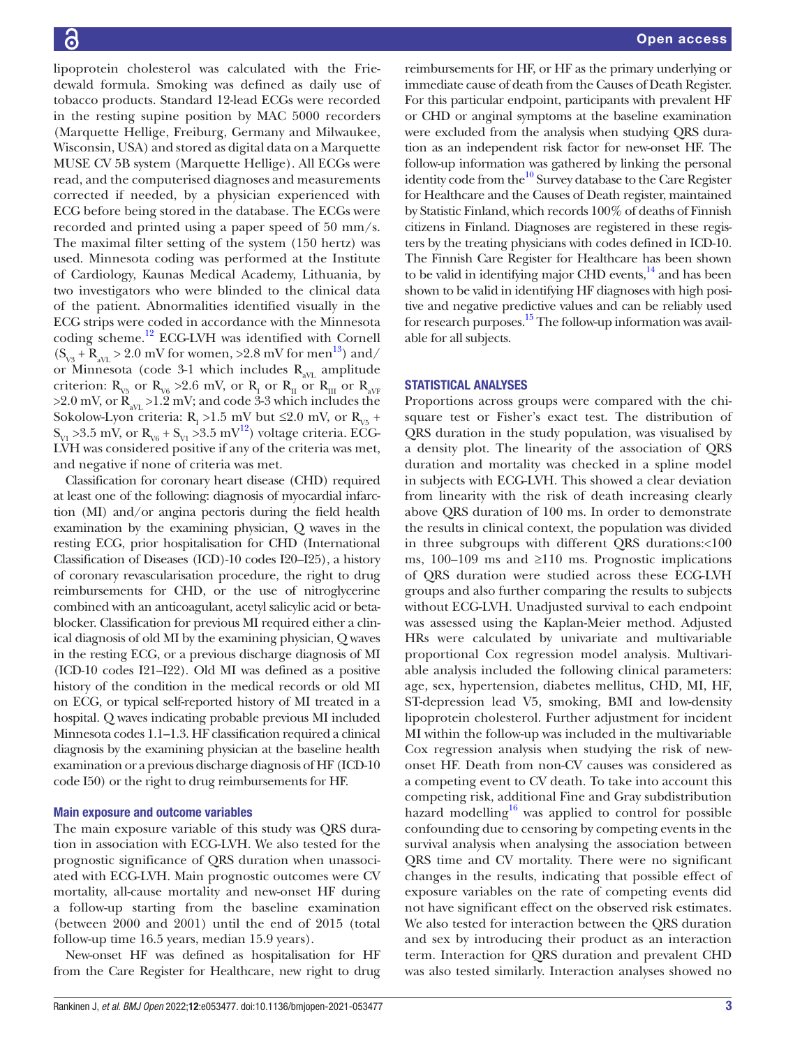lipoprotein cholesterol was calculated with the Friedewald formula. Smoking was defined as daily use of tobacco products. Standard 12-lead ECGs were recorded in the resting supine position by MAC 5000 recorders (Marquette Hellige, Freiburg, Germany and Milwaukee, Wisconsin, USA) and stored as digital data on a Marquette MUSE CV 5B system (Marquette Hellige). All ECGs were read, and the computerised diagnoses and measurements corrected if needed, by a physician experienced with ECG before being stored in the database. The ECGs were recorded and printed using a paper speed of 50 mm/s. The maximal filter setting of the system (150 hertz) was used. Minnesota coding was performed at the Institute of Cardiology, Kaunas Medical Academy, Lithuania, by two investigators who were blinded to the clinical data of the patient. Abnormalities identified visually in the ECG strips were coded in accordance with the Minnesota coding scheme.[12](#page-7-4) ECG-LVH was identified with Cornell  $(S_{\text{V3}} + R_{\text{av}} > 2.0 \text{ mV}$  for women, >2.8 mV for men<sup>13</sup>) and/ or Minnesota (code 3-1 which includes  $R_{avL}$  amplitude criterion:  $R_{v5}$  or  $R_{v6} > 2.6$  mV, or  $R_{I}$  or  $R_{II}$  or  $R_{I}$  or  $R_{avF}$  $>2.0$  mV, or  $R_{av} > 1.2$  mV; and code 3-3 which includes the Sokolow-Lyon criteria:  $R_1 > 1.5$  mV but  $\leq 2.0$  mV, or  $R_{v5}$  +  $S_{VI} > 3.5$  mV, or  $R_{VI} > 3.5$  mV<sup>12</sup>) voltage criteria. ECG-LVH was considered positive if any of the criteria was met, and negative if none of criteria was met.

Classification for coronary heart disease (CHD) required at least one of the following: diagnosis of myocardial infarction (MI) and/or angina pectoris during the field health examination by the examining physician, Q waves in the resting ECG, prior hospitalisation for CHD (International Classification of Diseases (ICD)-10 codes I20–I25), a history of coronary revascularisation procedure, the right to drug reimbursements for CHD, or the use of nitroglycerine combined with an anticoagulant, acetyl salicylic acid or betablocker. Classification for previous MI required either a clinical diagnosis of old MI by the examining physician, Q waves in the resting ECG, or a previous discharge diagnosis of MI (ICD-10 codes I21–I22). Old MI was defined as a positive history of the condition in the medical records or old MI on ECG, or typical self-reported history of MI treated in a hospital. Q waves indicating probable previous MI included Minnesota codes 1.1–1.3. HF classification required a clinical diagnosis by the examining physician at the baseline health examination or a previous discharge diagnosis of HF (ICD-10 code I50) or the right to drug reimbursements for HF.

#### Main exposure and outcome variables

The main exposure variable of this study was QRS duration in association with ECG-LVH. We also tested for the prognostic significance of QRS duration when unassociated with ECG-LVH. Main prognostic outcomes were CV mortality, all-cause mortality and new-onset HF during a follow-up starting from the baseline examination (between 2000 and 2001) until the end of 2015 (total follow-up time 16.5 years, median 15.9 years).

New-onset HF was defined as hospitalisation for HF from the Care Register for Healthcare, new right to drug

reimbursements for HF, or HF as the primary underlying or immediate cause of death from the Causes of Death Register. For this particular endpoint, participants with prevalent HF or CHD or anginal symptoms at the baseline examination were excluded from the analysis when studying QRS duration as an independent risk factor for new-onset HF. The follow-up information was gathered by linking the personal identity code from the<sup>10</sup> Survey database to the Care Register for Healthcare and the Causes of Death register, maintained by Statistic Finland, which records 100% of deaths of Finnish citizens in Finland. Diagnoses are registered in these registers by the treating physicians with codes defined in ICD-10. The Finnish Care Register for Healthcare has been shown to be valid in identifying major CHD events, $14$  and has been shown to be valid in identifying HF diagnoses with high positive and negative predictive values and can be reliably used for research purposes.<sup>15</sup> The follow-up information was available for all subjects.

#### STATISTICAL ANALYSES

Proportions across groups were compared with the chisquare test or Fisher's exact test. The distribution of QRS duration in the study population, was visualised by a density plot. The linearity of the association of QRS duration and mortality was checked in a spline model in subjects with ECG-LVH. This showed a clear deviation from linearity with the risk of death increasing clearly above QRS duration of 100 ms. In order to demonstrate the results in clinical context, the population was divided in three subgroups with different QRS durations:<100 ms, 100–109 ms and  $\geq$ 110 ms. Prognostic implications of QRS duration were studied across these ECG-LVH groups and also further comparing the results to subjects without ECG-LVH. Unadjusted survival to each endpoint was assessed using the Kaplan-Meier method. Adjusted HRs were calculated by univariate and multivariable proportional Cox regression model analysis. Multivariable analysis included the following clinical parameters: age, sex, hypertension, diabetes mellitus, CHD, MI, HF, ST-depression lead V5, smoking, BMI and low-density lipoprotein cholesterol. Further adjustment for incident MI within the follow-up was included in the multivariable Cox regression analysis when studying the risk of newonset HF. Death from non-CV causes was considered as a competing event to CV death. To take into account this competing risk, additional Fine and Gray subdistribution hazard modelling<sup>[16](#page-7-8)</sup> was applied to control for possible confounding due to censoring by competing events in the survival analysis when analysing the association between QRS time and CV mortality. There were no significant changes in the results, indicating that possible effect of exposure variables on the rate of competing events did not have significant effect on the observed risk estimates. We also tested for interaction between the QRS duration and sex by introducing their product as an interaction term. Interaction for QRS duration and prevalent CHD was also tested similarly. Interaction analyses showed no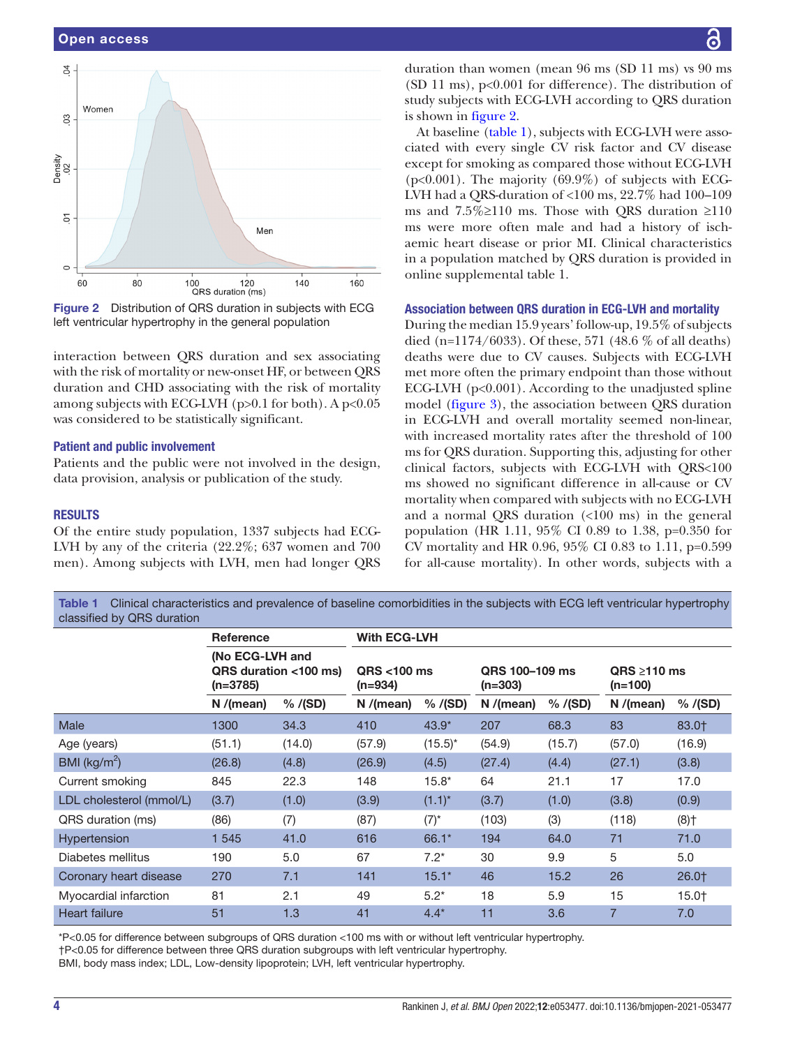

<span id="page-3-0"></span>Figure 2 Distribution of QRS duration in subjects with ECG left ventricular hypertrophy in the general population

interaction between QRS duration and sex associating with the risk of mortality or new-onset HF, or between QRS duration and CHD associating with the risk of mortality among subjects with ECG-LVH ( $p>0.1$  for both). A  $p<0.05$ was considered to be statistically significant.

## Patient and public involvement

Patients and the public were not involved in the design, data provision, analysis or publication of the study.

#### RESULTS

Of the entire study population, 1337 subjects had ECG-LVH by any of the criteria (22.2%; 637 women and 700 men). Among subjects with LVH, men had longer QRS

duration than women (mean 96 ms (SD 11 ms) vs 90 ms (SD 11 ms),  $p<0.001$  for difference). The distribution of study subjects with ECG-LVH according to QRS duration is shown in [figure](#page-3-0) 2.

At baseline ([table](#page-3-1) 1), subjects with ECG-LVH were associated with every single CV risk factor and CV disease except for smoking as compared those without ECG-LVH  $(p<0.001)$ . The majority  $(69.9\%)$  of subjects with ECG-LVH had a QRS-duration of <100 ms, 22.7% had 100–109 ms and  $7.5\% \ge 110$  ms. Those with QRS duration  $\ge 110$ ms were more often male and had a history of ischaemic heart disease or prior MI. Clinical characteristics in a population matched by QRS duration is provided in [online supplemental table 1.](https://dx.doi.org/10.1136/bmjopen-2021-053477)

#### Association between QRS duration in ECG-LVH and mortality

During the median 15.9 years' follow-up, 19.5% of subjects died (n=1174/6033). Of these, 571 (48.6 % of all deaths) deaths were due to CV causes. Subjects with ECG-LVH met more often the primary endpoint than those without ECG-LVH (p<0.001). According to the unadjusted spline model [\(figure](#page-4-0) 3), the association between QRS duration in ECG-LVH and overall mortality seemed non-linear, with increased mortality rates after the threshold of 100 ms for QRS duration. Supporting this, adjusting for other clinical factors, subjects with ECG-LVH with QRS<100 ms showed no significant difference in all-cause or CV mortality when compared with subjects with no ECG-LVH and a normal QRS duration (<100 ms) in the general population (HR 1.11, 95% CI 0.89 to 1.38, p=0.350 for CV mortality and HR 0.96, 95% CI 0.83 to 1.11, p=0.599 for all-cause mortality). In other words, subjects with a

<span id="page-3-1"></span>Table 1 Clinical characteristics and prevalence of baseline comorbidities in the subjects with ECG left ventricular hypertrophy classified by QRS duration

|                          | <b>Reference</b><br>(No ECG-LVH and<br>QRS duration <100 ms)<br>(n=3785) |          | <b>With ECG-LVH</b>       |            |                             |          |                                |                    |  |
|--------------------------|--------------------------------------------------------------------------|----------|---------------------------|------------|-----------------------------|----------|--------------------------------|--------------------|--|
|                          |                                                                          |          | $ORS < 100$ ms<br>(n=934) |            | QRS 100-109 ms<br>$(n=303)$ |          | $ORS \geq 110$ ms<br>$(n=100)$ |                    |  |
|                          | N/(mean)                                                                 | % / (SD) | N/(mean)                  | % / (SD)   | N/(mean)                    | % / (SD) | N/(mean)                       | % / (SD)           |  |
| <b>Male</b>              | 1300                                                                     | 34.3     | 410                       | $43.9*$    | 207                         | 68.3     | 83                             | 83.0+              |  |
| Age (years)              | (51.1)                                                                   | (14.0)   | (57.9)                    | $(15.5)^*$ | (54.9)                      | (15.7)   | (57.0)                         | (16.9)             |  |
| BMI ( $\text{kg/m}^2$ )  | (26.8)                                                                   | (4.8)    | (26.9)                    | (4.5)      | (27.4)                      | (4.4)    | (27.1)                         | (3.8)              |  |
| Current smoking          | 845                                                                      | 22.3     | 148                       | $15.8*$    | 64                          | 21.1     | 17                             | 17.0               |  |
| LDL cholesterol (mmol/L) | (3.7)                                                                    | (1.0)    | (3.9)                     | $(1.1)^*$  | (3.7)                       | (1.0)    | (3.8)                          | (0.9)              |  |
| QRS duration (ms)        | (86)                                                                     | (7)      | (87)                      | $(7)^*$    | (103)                       | (3)      | (118)                          | $(8)$ <sup>+</sup> |  |
| Hypertension             | 1 545                                                                    | 41.0     | 616                       | 66.1*      | 194                         | 64.0     | 71                             | 71.0               |  |
| Diabetes mellitus        | 190                                                                      | 5.0      | 67                        | $7.2^*$    | 30                          | 9.9      | 5                              | 5.0                |  |
| Coronary heart disease   | 270                                                                      | 7.1      | 141                       | $15.1*$    | 46                          | 15.2     | 26                             | 26.0+              |  |
| Myocardial infarction    | 81                                                                       | 2.1      | 49                        | $5.2*$     | 18                          | 5.9      | 15                             | 15.0†              |  |
| <b>Heart failure</b>     | 51                                                                       | 1.3      | 41                        | $4.4*$     | 11                          | 3.6      | $\overline{7}$                 | 7.0                |  |

\*P<0.05 for difference between subgroups of QRS duration <100 ms with or without left ventricular hypertrophy. †P<0.05 for difference between three QRS duration subgroups with left ventricular hypertrophy. BMI, body mass index; LDL, Low-density lipoprotein; LVH, left ventricular hypertrophy.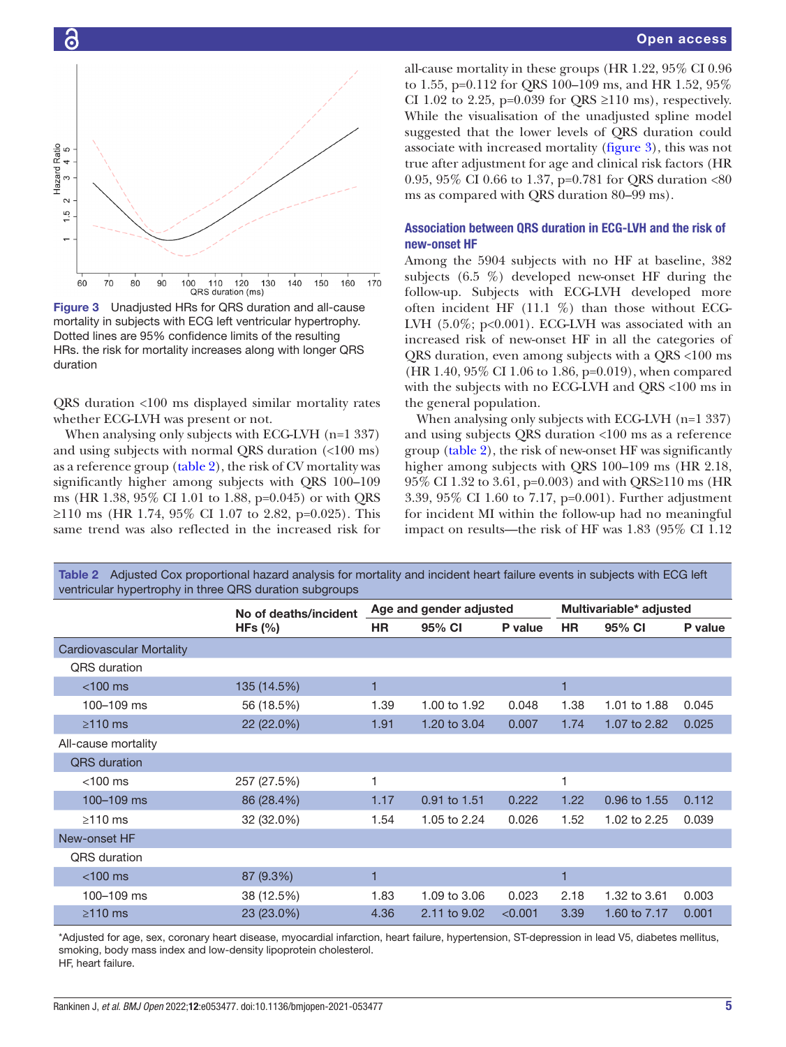

<span id="page-4-0"></span>

QRS duration <100 ms displayed similar mortality rates whether ECG-LVH was present or not.

When analysing only subjects with ECG-LVH (n=1 337) and using subjects with normal QRS duration (<100 ms) as a reference group ([table](#page-4-1) 2), the risk of CV mortality was significantly higher among subjects with QRS 100–109 ms (HR 1.38, 95% CI 1.01 to 1.88, p=0.045) or with QRS ≥110 ms (HR 1.74, 95% CI 1.07 to 2.82, p=0.025). This same trend was also reflected in the increased risk for

all-cause mortality in these groups (HR 1.22, 95% CI 0.96 to 1.55, p=0.112 for QRS 100–109 ms, and HR 1.52, 95% CI 1.02 to 2.25, p=0.039 for QRS  $\geq$ 110 ms), respectively. While the visualisation of the unadjusted spline model suggested that the lower levels of QRS duration could associate with increased mortality ([figure](#page-4-0) 3), this was not true after adjustment for age and clinical risk factors (HR 0.95, 95% CI 0.66 to 1.37, p=0.781 for QRS duration <80 ms as compared with QRS duration 80–99 ms).

# Association between QRS duration in ECG-LVH and the risk of new-onset HF

Among the 5904 subjects with no HF at baseline, 382 subjects (6.5 %) developed new-onset HF during the follow-up. Subjects with ECG-LVH developed more often incident HF (11.1 %) than those without ECG-LVH  $(5.0\%; p<0.001)$ . ECG-LVH was associated with an increased risk of new-onset HF in all the categories of QRS duration, even among subjects with a QRS <100 ms (HR 1.40, 95% CI 1.06 to 1.86, p=0.019), when compared with the subjects with no ECG-LVH and QRS <100 ms in the general population.

When analysing only subjects with ECG-LVH (n=1 337) and using subjects QRS duration <100 ms as a reference group [\(table](#page-4-1) 2), the risk of new-onset HF was significantly higher among subjects with QRS 100–109 ms (HR 2.18, 95% CI 1.32 to 3.61, p=0.003) and with QRS≥110 ms (HR 3.39, 95% CI 1.60 to 7.17, p=0.001). Further adjustment for incident MI within the follow-up had no meaningful impact on results—the risk of HF was 1.83 (95% CI 1.12

| ventricular hypertrophy in three Qrip duration subgroups. |                       |                         |              |         |                         |              |         |  |  |  |  |
|-----------------------------------------------------------|-----------------------|-------------------------|--------------|---------|-------------------------|--------------|---------|--|--|--|--|
|                                                           | No of deaths/incident | Age and gender adjusted |              |         | Multivariable* adjusted |              |         |  |  |  |  |
|                                                           | HFs $(\% )$           | <b>HR</b>               | 95% CI       | P value | <b>HR</b>               | 95% CI       | P value |  |  |  |  |
| Cardiovascular Mortality                                  |                       |                         |              |         |                         |              |         |  |  |  |  |
| <b>QRS</b> duration                                       |                       |                         |              |         |                         |              |         |  |  |  |  |
| $<$ 100 $ms$                                              | 135 (14.5%)           | 1                       |              |         | 1                       |              |         |  |  |  |  |
| 100-109 ms                                                | 56 (18.5%)            | 1.39                    | 1.00 to 1.92 | 0.048   | 1.38                    | 1.01 to 1.88 | 0.045   |  |  |  |  |
| $\geq$ 110 ms                                             | 22 (22.0%)            | 1.91                    | 1.20 to 3.04 | 0.007   | 1.74                    | 1.07 to 2.82 | 0.025   |  |  |  |  |
| All-cause mortality                                       |                       |                         |              |         |                         |              |         |  |  |  |  |
| <b>QRS</b> duration                                       |                       |                         |              |         |                         |              |         |  |  |  |  |
| $<$ 100 $ms$                                              | 257 (27.5%)           | 1                       |              |         | 1                       |              |         |  |  |  |  |
| 100-109 ms                                                | 86 (28.4%)            | 1.17                    | 0.91 to 1.51 | 0.222   | 1.22                    | 0.96 to 1.55 | 0.112   |  |  |  |  |
| $\geq$ 110 ms                                             | 32 (32.0%)            | 1.54                    | 1.05 to 2.24 | 0.026   | 1.52                    | 1.02 to 2.25 | 0.039   |  |  |  |  |
| New-onset HF                                              |                       |                         |              |         |                         |              |         |  |  |  |  |
| <b>QRS</b> duration                                       |                       |                         |              |         |                         |              |         |  |  |  |  |
| $<$ 100 $ms$                                              | 87 (9.3%)             | 1                       |              |         | 1                       |              |         |  |  |  |  |
| 100-109 ms                                                | 38 (12.5%)            | 1.83                    | 1.09 to 3.06 | 0.023   | 2.18                    | 1.32 to 3.61 | 0.003   |  |  |  |  |
| $\geq$ 110 ms                                             | 23 (23.0%)            | 4.36                    | 2.11 to 9.02 | < 0.001 | 3.39                    | 1.60 to 7.17 | 0.001   |  |  |  |  |

<span id="page-4-1"></span>Table 2 Adjusted Cox proportional hazard analysis for mortality and incident heart failure events in subjects with ECG left  $\alpha$  during the matrice of three  $\alpha$ 

\*Adjusted for age, sex, coronary heart disease, myocardial infarction, heart failure, hypertension, ST-depression in lead V5, diabetes mellitus, smoking, body mass index and low-density lipoprotein cholesterol. HF, heart failure.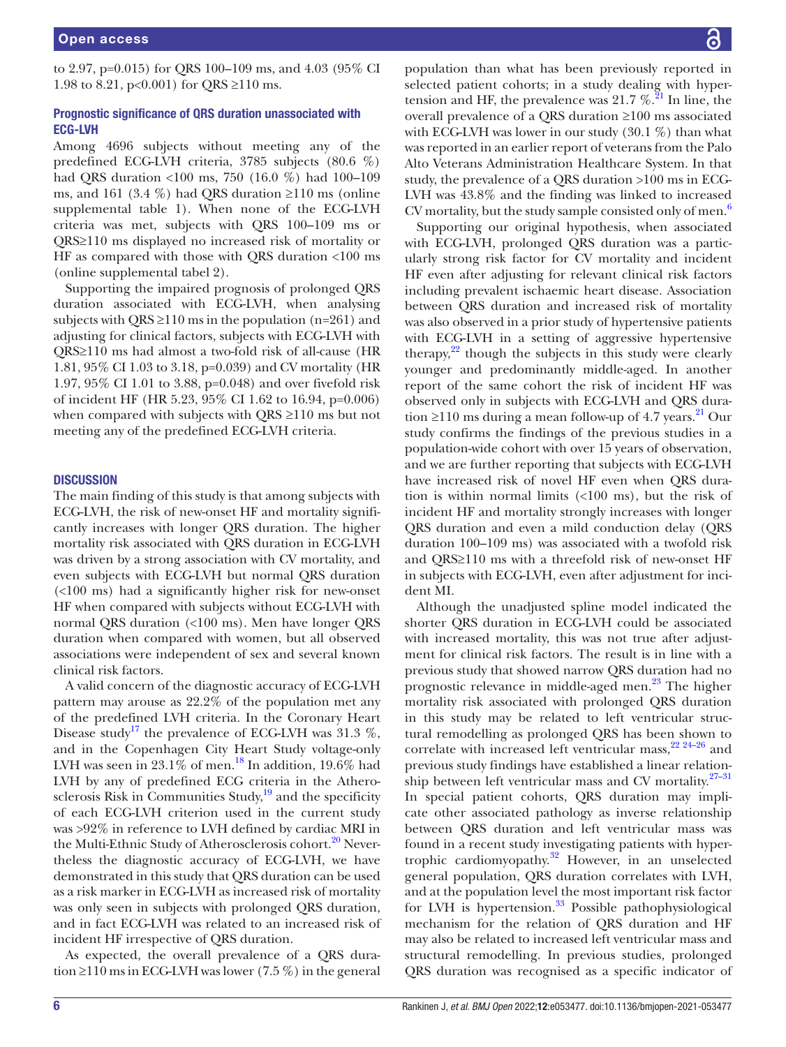to 2.97, p=0.015) for QRS 100–109 ms, and 4.03 (95% CI 1.98 to 8.21, p<0.001) for QRS  $\geq$ 110 ms.

# Prognostic significance of QRS duration unassociated with ECG-LVH

Among 4696 subjects without meeting any of the predefined ECG-LVH criteria, 3785 subjects (80.6 %) had QRS duration <100 ms, 750 (16.0 %) had 100–109 ms, and 161 (3.4 %) had QRS duration  $\geq$ 110 ms [\(online](https://dx.doi.org/10.1136/bmjopen-2021-053477) [supplemental table 1\)](https://dx.doi.org/10.1136/bmjopen-2021-053477). When none of the ECG-LVH criteria was met, subjects with QRS 100–109 ms or QRS≥110 ms displayed no increased risk of mortality or HF as compared with those with QRS duration <100 ms ([online supplemental tabel 2\)](https://dx.doi.org/10.1136/bmjopen-2021-053477).

Supporting the impaired prognosis of prolonged QRS duration associated with ECG-LVH, when analysing subjects with QRS  $\geq$ 110 ms in the population (n=261) and adjusting for clinical factors, subjects with ECG-LVH with QRS≥110 ms had almost a two-fold risk of all-cause (HR 1.81, 95% CI 1.03 to 3.18, p=0.039) and CV mortality (HR 1.97, 95% CI 1.01 to 3.88, p=0.048) and over fivefold risk of incident HF (HR 5.23, 95% CI 1.62 to 16.94, p=0.006) when compared with subjects with QRS ≥110 ms but not meeting any of the predefined ECG-LVH criteria.

#### **DISCUSSION**

The main finding of this study is that among subjects with ECG-LVH, the risk of new-onset HF and mortality significantly increases with longer QRS duration. The higher mortality risk associated with QRS duration in ECG-LVH was driven by a strong association with CV mortality, and even subjects with ECG-LVH but normal QRS duration (<100 ms) had a significantly higher risk for new-onset HF when compared with subjects without ECG-LVH with normal QRS duration (<100 ms). Men have longer QRS duration when compared with women, but all observed associations were independent of sex and several known clinical risk factors.

A valid concern of the diagnostic accuracy of ECG-LVH pattern may arouse as 22.2% of the population met any of the predefined LVH criteria. In the Coronary Heart Disease study<sup>17</sup> the prevalence of ECG-LVH was 31.3 %, and in the Copenhagen City Heart Study voltage-only LVH was seen in  $23.1\%$  of men.<sup>18</sup> In addition, 19.6% had LVH by any of predefined ECG criteria in the Atherosclerosis Risk in Communities Study, $19$  and the specificity of each ECG-LVH criterion used in the current study was >92% in reference to LVH defined by cardiac MRI in the Multi-Ethnic Study of Atherosclerosis cohort.<sup>[20](#page-7-12)</sup> Nevertheless the diagnostic accuracy of ECG-LVH, we have demonstrated in this study that QRS duration can be used as a risk marker in ECG-LVH as increased risk of mortality was only seen in subjects with prolonged QRS duration, and in fact ECG-LVH was related to an increased risk of incident HF irrespective of QRS duration.

As expected, the overall prevalence of a QRS duration ≥110 ms in ECG-LVH was lower (7.5 %) in the general

population than what has been previously reported in selected patient cohorts; in a study dealing with hypertension and HF, the prevalence was  $21.7 \%$  $21.7 \%$ .<sup>21</sup> In line, the overall prevalence of a QRS duration ≥100 ms associated with ECG-LVH was lower in our study  $(30.1\%)$  than what was reported in an earlier report of veterans from the Palo Alto Veterans Administration Healthcare System. In that study, the prevalence of a QRS duration >100 ms in ECG-LVH was 43.8% and the finding was linked to increased CV mortality, but the study sample consisted only of men.<sup>[6](#page-7-14)</sup>

Supporting our original hypothesis, when associated with ECG-LVH, prolonged QRS duration was a particularly strong risk factor for CV mortality and incident HF even after adjusting for relevant clinical risk factors including prevalent ischaemic heart disease. Association between QRS duration and increased risk of mortality was also observed in a prior study of hypertensive patients with ECG-LVH in a setting of aggressive hypertensive therapy, [22](#page-7-15) though the subjects in this study were clearly younger and predominantly middle-aged. In another report of the same cohort the risk of incident HF was observed only in subjects with ECG-LVH and QRS duration ≥110 ms during a mean follow-up of 4.7 years.<sup>21</sup> Our study confirms the findings of the previous studies in a population-wide cohort with over 15 years of observation, and we are further reporting that subjects with ECG-LVH have increased risk of novel HF even when QRS duration is within normal limits (<100 ms), but the risk of incident HF and mortality strongly increases with longer QRS duration and even a mild conduction delay (QRS duration 100–109 ms) was associated with a twofold risk and QRS≥110 ms with a threefold risk of new-onset HF in subjects with ECG-LVH, even after adjustment for incident MI.

Although the unadjusted spline model indicated the shorter QRS duration in ECG-LVH could be associated with increased mortality, this was not true after adjustment for clinical risk factors. The result is in line with a previous study that showed narrow QRS duration had no prognostic relevance in middle-aged men.<sup>23</sup> The higher mortality risk associated with prolonged QRS duration in this study may be related to left ventricular structural remodelling as prolonged QRS has been shown to correlate with increased left ventricular mass, $22^{24-26}$  and previous study findings have established a linear relationship between left ventricular mass and CV mortality.<sup>27-31</sup> In special patient cohorts, QRS duration may implicate other associated pathology as inverse relationship between QRS duration and left ventricular mass was found in a recent study investigating patients with hypertrophic cardiomyopathy. $32$  However, in an unselected general population, QRS duration correlates with LVH, and at the population level the most important risk factor for LVH is hypertension. $33$  Possible pathophysiological mechanism for the relation of QRS duration and HF may also be related to increased left ventricular mass and structural remodelling. In previous studies, prolonged QRS duration was recognised as a specific indicator of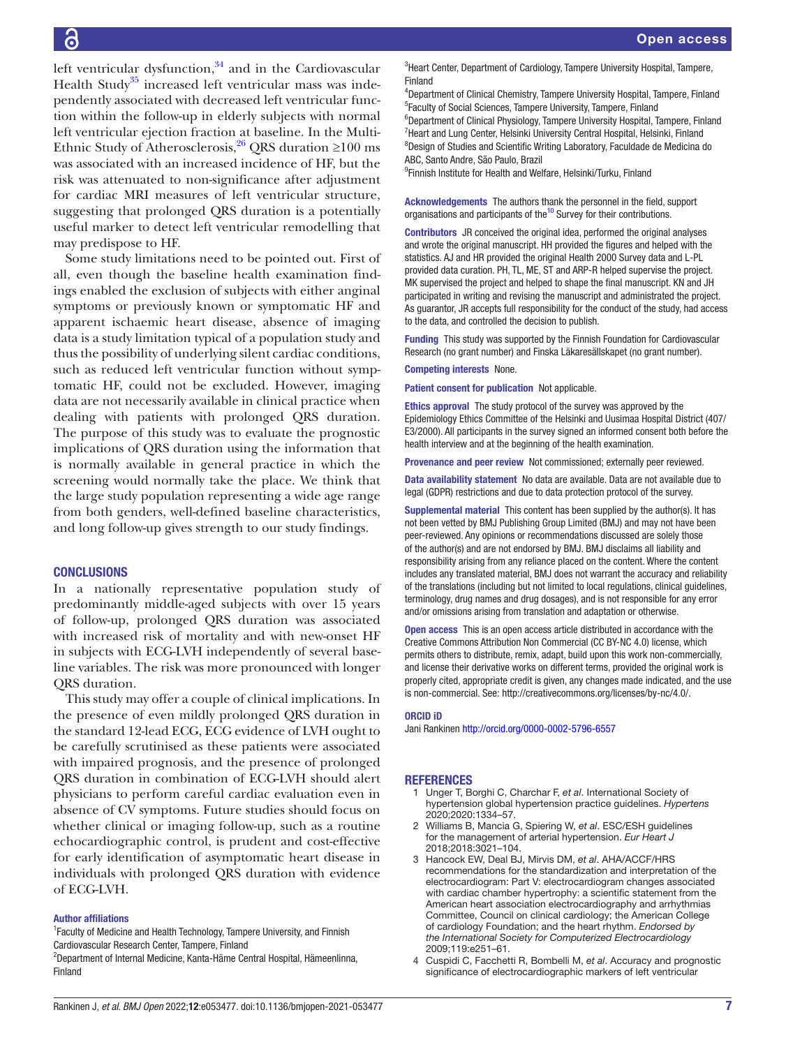left ventricular dysfunction,<sup>34</sup> and in the Cardiovascular Health Study<sup>35</sup> increased left ventricular mass was independently associated with decreased left ventricular function within the follow-up in elderly subjects with normal left ventricular ejection fraction at baseline. In the Multi-Ethnic Study of Atherosclerosis,<sup>26</sup> QRS duration ≥100 ms was associated with an increased incidence of HF, but the risk was attenuated to non-significance after adjustment for cardiac MRI measures of left ventricular structure, suggesting that prolonged QRS duration is a potentially useful marker to detect left ventricular remodelling that may predispose to HF.

Some study limitations need to be pointed out. First of all, even though the baseline health examination findings enabled the exclusion of subjects with either anginal symptoms or previously known or symptomatic HF and apparent ischaemic heart disease, absence of imaging data is a study limitation typical of a population study and thus the possibility of underlying silent cardiac conditions, such as reduced left ventricular function without symptomatic HF, could not be excluded. However, imaging data are not necessarily available in clinical practice when dealing with patients with prolonged QRS duration. The purpose of this study was to evaluate the prognostic implications of QRS duration using the information that is normally available in general practice in which the screening would normally take the place. We think that the large study population representing a wide age range from both genders, well-defined baseline characteristics, and long follow-up gives strength to our study findings.

#### **CONCLUSIONS**

In a nationally representative population study of predominantly middle-aged subjects with over 15 years of follow-up, prolonged QRS duration was associated with increased risk of mortality and with new-onset HF in subjects with ECG-LVH independently of several baseline variables. The risk was more pronounced with longer QRS duration.

This study may offer a couple of clinical implications. In the presence of even mildly prolonged QRS duration in the standard 12-lead ECG, ECG evidence of LVH ought to be carefully scrutinised as these patients were associated with impaired prognosis, and the presence of prolonged QRS duration in combination of ECG-LVH should alert physicians to perform careful cardiac evaluation even in absence of CV symptoms. Future studies should focus on whether clinical or imaging follow-up, such as a routine echocardiographic control, is prudent and cost-effective for early identification of asymptomatic heart disease in individuals with prolonged QRS duration with evidence of ECG-LVH.

#### Author affiliations

<sup>1</sup> Faculty of Medicine and Health Technology, Tampere University, and Finnish Cardiovascular Research Center, Tampere, Finland

2 Department of Internal Medicine, Kanta-Häme Central Hospital, Hämeenlinna, Finland

<sup>4</sup>Department of Clinical Chemistry, Tampere University Hospital, Tampere, Finland 5 Faculty of Social Sciences, Tampere University, Tampere, Finland

<sup>6</sup>Department of Clinical Physiology, Tampere University Hospital, Tampere, Finland <sup>7</sup> Heart and Lung Center, Helsinki University Central Hospital, Helsinki, Finland 8 Design of Studies and Scientific Writing Laboratory, Faculdade de Medicina do ABC, Santo Andre, São Paulo, Brazil

9 Finnish Institute for Health and Welfare, Helsinki/Turku, Finland

Acknowledgements The authors thank the personnel in the field, support organisations and participants of the<sup>10</sup> Survey for their contributions.

Contributors JR conceived the original idea, performed the original analyses and wrote the original manuscript. HH provided the figures and helped with the statistics. AJ and HR provided the original Health 2000 Survey data and L-PL provided data curation. PH, TL, ME, ST and ARP-R helped supervise the project. MK supervised the project and helped to shape the final manuscript. KN and JH participated in writing and revising the manuscript and administrated the project. As guarantor, JR accepts full responsibility for the conduct of the study, had access to the data, and controlled the decision to publish.

Funding This study was supported by the Finnish Foundation for Cardiovascular Research (no grant number) and Finska Läkaresällskapet (no grant number).

#### Competing interests None.

Patient consent for publication Not applicable.

Ethics approval The study protocol of the survey was approved by the Epidemiology Ethics Committee of the Helsinki and Uusimaa Hospital District (407/ E3/2000). All participants in the survey signed an informed consent both before the health interview and at the beginning of the health examination.

Provenance and peer review Not commissioned; externally peer reviewed.

Data availability statement No data are available. Data are not available due to legal (GDPR) restrictions and due to data protection protocol of the survey.

Supplemental material This content has been supplied by the author(s). It has not been vetted by BMJ Publishing Group Limited (BMJ) and may not have been peer-reviewed. Any opinions or recommendations discussed are solely those of the author(s) and are not endorsed by BMJ. BMJ disclaims all liability and responsibility arising from any reliance placed on the content. Where the content includes any translated material, BMJ does not warrant the accuracy and reliability of the translations (including but not limited to local regulations, clinical guidelines, terminology, drug names and drug dosages), and is not responsible for any error and/or omissions arising from translation and adaptation or otherwise.

Open access This is an open access article distributed in accordance with the Creative Commons Attribution Non Commercial (CC BY-NC 4.0) license, which permits others to distribute, remix, adapt, build upon this work non-commercially, and license their derivative works on different terms, provided the original work is properly cited, appropriate credit is given, any changes made indicated, and the use is non-commercial. See: [http://creativecommons.org/licenses/by-nc/4.0/.](http://creativecommons.org/licenses/by-nc/4.0/)

#### ORCID iD

Jani Rankinen <http://orcid.org/0000-0002-5796-6557>

#### <span id="page-6-0"></span>REFERENCES

- 1 Unger T, Borghi C, Charchar F, *et al*. International Society of hypertension global hypertension practice guidelines. *Hypertens* 2020;2020:1334–57.
- <span id="page-6-1"></span>2 Williams B, Mancia G, Spiering W, *et al*. ESC/ESH guidelines for the management of arterial hypertension. *Eur Heart J* 2018;2018:3021–104.
- <span id="page-6-2"></span>3 Hancock EW, Deal BJ, Mirvis DM, *et al*. AHA/ACCF/HRS recommendations for the standardization and interpretation of the electrocardiogram: Part V: electrocardiogram changes associated with cardiac chamber hypertrophy: a scientific statement from the American heart association electrocardiography and arrhythmias Committee, Council on clinical cardiology; the American College of cardiology Foundation; and the heart rhythm. *Endorsed by the International Society for Computerized Electrocardiology* 2009;119:e251–61.
- <span id="page-6-3"></span>4 Cuspidi C, Facchetti R, Bombelli M, *et al*. Accuracy and prognostic significance of electrocardiographic markers of left ventricular